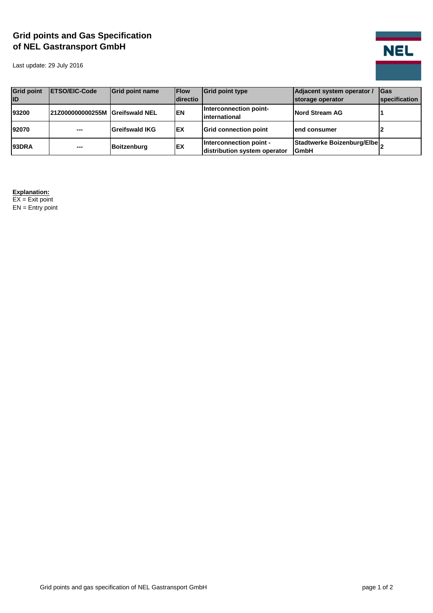## **Grid points and Gas Specification of NEL Gastransport GmbH**

Last update: 29 July 2016



| <b>Grid point</b><br><b>ID</b> | <b>IETSO/EIC-Code</b>           | <b>Grid point name</b> | <b>IFlow</b><br>Idirectio | <b>Grid point type</b>                                  | Adjacent system operator /<br>storage operator | <b>IGas</b><br><b>specification</b> |
|--------------------------------|---------------------------------|------------------------|---------------------------|---------------------------------------------------------|------------------------------------------------|-------------------------------------|
| 93200                          | 21Z000000000255M Greifswald NEL |                        | <b>EN</b>                 | Interconnection point-<br>linternational                | <b>Nord Stream AG</b>                          |                                     |
| 92070                          | $\overline{a}$                  | Greifswald IKG         | <b>IEX</b>                | <b>Grid connection point</b>                            | lend consumer                                  |                                     |
| <b>93DRA</b>                   | ---                             | <b>Boitzenburg</b>     | <b>IEX</b>                | Interconnection point -<br>distribution system operator | Stadtwerke Boizenburg/Elbe<br><b>GmbH</b>      |                                     |

## **Explanation:**

EX = Exit point  $EN =$  Entry point